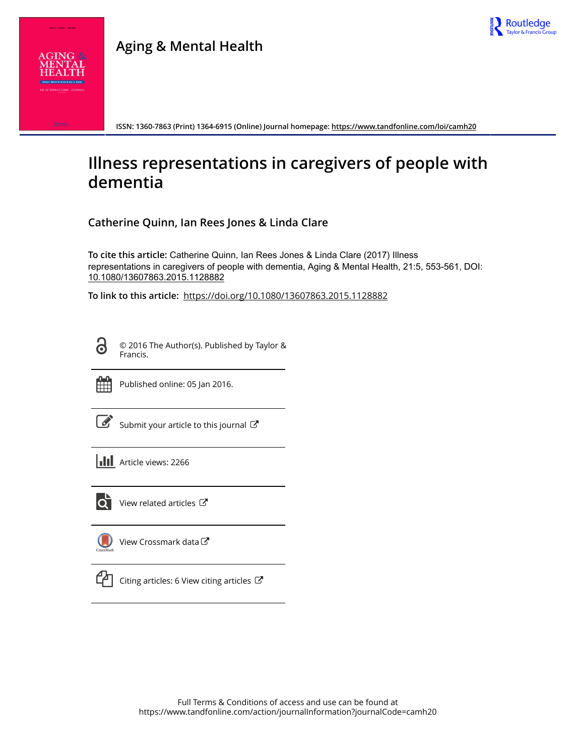

## **Aging & Mental Health**



**ISSN: 1360-7863 (Print) 1364-6915 (Online) Journal homepage:<https://www.tandfonline.com/loi/camh20>**

# **Illness representations in caregivers of people with dementia**

**Catherine Quinn, Ian Rees Jones & Linda Clare**

**To cite this article:** Catherine Quinn, Ian Rees Jones & Linda Clare (2017) Illness representations in caregivers of people with dementia, Aging & Mental Health, 21:5, 553-561, DOI: [10.1080/13607863.2015.1128882](https://www.tandfonline.com/action/showCitFormats?doi=10.1080/13607863.2015.1128882)

**To link to this article:** <https://doi.org/10.1080/13607863.2015.1128882>

G

© 2016 The Author(s). Published by Taylor & Francis.



Published online: 05 Jan 2016.

[Submit your article to this journal](https://www.tandfonline.com/action/authorSubmission?journalCode=camh20&show=instructions)  $\mathbb{Z}$ 

**III** Article views: 2266



 $\bullet$  [View related articles](https://www.tandfonline.com/doi/mlt/10.1080/13607863.2015.1128882)  $\sigma$ 

 $\bigcup$ [View Crossmark data](http://crossmark.crossref.org/dialog/?doi=10.1080/13607863.2015.1128882&domain=pdf&date_stamp=2016-01-05)



 $\mathbb{C}$  [Citing articles: 6 View citing articles](https://www.tandfonline.com/doi/citedby/10.1080/13607863.2015.1128882#tabModule)  $\mathbb{C}$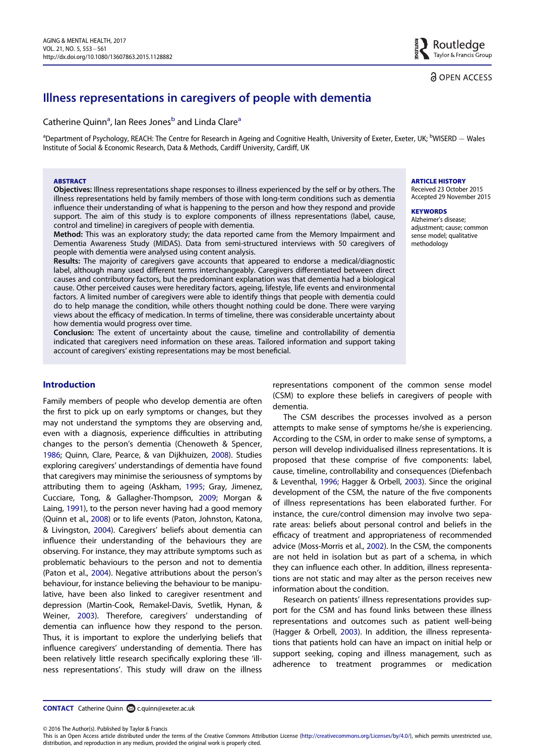<u>ခါ</u> OPEN ACCESS

### Illness representations in caregivers of people with dementia

Catherine Quinn<sup>a</sup>, Ian Rees Jones<sup>[b](#page-1-0)</sup> [a](#page-1-0)nd Linda Clare<sup>a</sup>

<span id="page-1-0"></span>a<br>Pepartment of Psychology, REACH: The Centre for Research in Ageing and Cognitive Health, University of Exeter, Exeter, UK; <sup>b</sup>WISERD – Wales Institute of Social & Economic Research, Data & Methods, Cardiff University, Cardiff, UK

#### **ABSTRACT**

Objectives: Illness representations shape responses to illness experienced by the self or by others. The illness representations held by family members of those with long-term conditions such as dementia influence their understanding of what is happening to the person and how they respond and provide support. The aim of this study is to explore components of illness representations (label, cause, control and timeline) in caregivers of people with dementia.

Method: This was an exploratory study; the data reported came from the Memory Impairment and Dementia Awareness Study (MIDAS). Data from semi-structured interviews with 50 caregivers of people with dementia were analysed using content analysis.

Results: The majority of caregivers gave accounts that appeared to endorse a medical/diagnostic label, although many used different terms interchangeably. Caregivers differentiated between direct causes and contributory factors, but the predominant explanation was that dementia had a biological cause. Other perceived causes were hereditary factors, ageing, lifestyle, life events and environmental factors. A limited number of caregivers were able to identify things that people with dementia could do to help manage the condition, while others thought nothing could be done. There were varying views about the efficacy of medication. In terms of timeline, there was considerable uncertainty about how dementia would progress over time.

Conclusion: The extent of uncertainty about the cause, timeline and controllability of dementia indicated that caregivers need information on these areas. Tailored information and support taking account of caregivers' existing representations may be most beneficial.

#### Introduction

<span id="page-1-10"></span><span id="page-1-8"></span><span id="page-1-7"></span><span id="page-1-4"></span><span id="page-1-3"></span><span id="page-1-2"></span><span id="page-1-1"></span>Family members of people who develop dementia are often the first to pick up on early symptoms or changes, but they may not understand the symptoms they are observing and, even with a diagnosis, experience difficulties in attributing changes to the person's dementia (Chenoweth & Spencer, [1986](#page-8-0); Quinn, Clare, Pearce, & van Dijkhuizen, [2008](#page-9-0)). Studies exploring caregivers' understandings of dementia have found that caregivers may minimise the seriousness of symptoms by attributing them to ageing (Askham, [1995;](#page-8-1) Gray, Jimenez, Cucciare, Tong, & Gallagher-Thompson, [2009;](#page-8-2) Morgan & Laing, [1991](#page-9-1)), to the person never having had a good memory (Quinn et al., [2008\)](#page-9-0) or to life events (Paton, Johnston, Katona, & Livingston, [2004\)](#page-9-2). Caregivers' beliefs about dementia can influence their understanding of the behaviours they are observing. For instance, they may attribute symptoms such as problematic behaviours to the person and not to dementia (Paton et al., [2004\)](#page-9-2). Negative attributions about the person's behaviour, for instance believing the behaviour to be manipulative, have been also linked to caregiver resentment and depression (Martin-Cook, Remakel-Davis, Svetlik, Hynan, & Weiner, [2003](#page-9-3)). Therefore, caregivers' understanding of dementia can influence how they respond to the person. Thus, it is important to explore the underlying beliefs that influence caregivers' understanding of dementia. There has been relatively little research specifically exploring these 'illness representations'. This study will draw on the illness

representations component of the common sense model (CSM) to explore these beliefs in caregivers of people with dementia.

The CSM describes the processes involved as a person attempts to make sense of symptoms he/she is experiencing. According to the CSM, in order to make sense of symptoms, a person will develop individualised illness representations. It is proposed that these comprise of five components: label, cause, timeline, controllability and consequences (Diefenbach & Leventhal, [1996](#page-8-3); Hagger & Orbell, [2003\)](#page-8-4). Since the original development of the CSM, the nature of the five components of illness representations has been elaborated further. For instance, the cure/control dimension may involve two separate areas: beliefs about personal control and beliefs in the efficacy of treatment and appropriateness of recommended advice (Moss-Morris et al., [2002](#page-9-4)). In the CSM, the components are not held in isolation but as part of a schema, in which they can influence each other. In addition, illness representations are not static and may alter as the person receives new information about the condition.

Research on patients' illness representations provides support for the CSM and has found links between these illness representations and outcomes such as patient well-being (Hagger & Orbell, [2003](#page-8-4)). In addition, the illness representations that patients hold can have an impact on initial help or support seeking, coping and illness management, such as adherence to treatment programmes or medication

<span id="page-1-9"></span><span id="page-1-6"></span><span id="page-1-5"></span>CONTACT Catherine Quinn @ [c.quinn@exeter.ac.uk](mailto:c.quinn@exeter.ac.uk)

© 2016 The Author(s). Published by Taylor & Francis

ARTICLE HISTORY Received 23 October 2015

Accepted 29 November 2015

#### **KEYWORDS**

Alzheimer's disease; adjustment; cause; common sense model; qualitative methodology

This is an Open Access article distributed under the terms of the Creative Commons Attribution License (<http://creativecommons.org/Licenses/by/4.0/>), which permits unrestricted use, distribution, and reproduction in any medium, provided the original work is properly cited.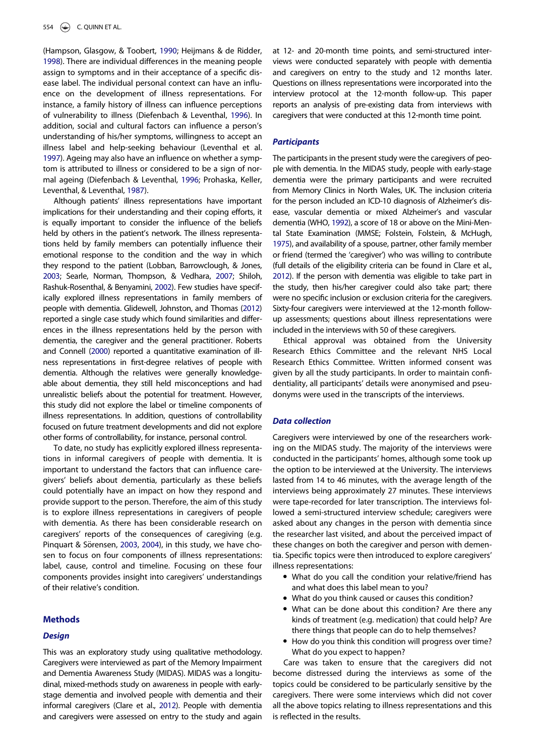<span id="page-2-3"></span>(Hampson, Glasgow, & Toobert, [1990;](#page-8-5) Heijmans & de Ridder, [1998](#page-8-6)). There are individual differences in the meaning people assign to symptoms and in their acceptance of a specific disease label. The individual personal context can have an influence on the development of illness representations. For instance, a family history of illness can influence perceptions of vulnerability to illness (Diefenbach & Leventhal, [1996\)](#page-8-3). In addition, social and cultural factors can influence a person's understanding of his/her symptoms, willingness to accept an illness label and help-seeking behaviour (Leventhal et al. [1997](#page-8-7)). Ageing may also have an influence on whether a symptom is attributed to illness or considered to be a sign of normal ageing (Diefenbach & Leventhal, [1996](#page-8-3); Prohaska, Keller, Leventhal, & Leventhal, [1987\)](#page-9-5).

<span id="page-2-11"></span><span id="page-2-10"></span><span id="page-2-9"></span><span id="page-2-7"></span><span id="page-2-5"></span><span id="page-2-4"></span><span id="page-2-2"></span><span id="page-2-1"></span><span id="page-2-0"></span>Although patients' illness representations have important implications for their understanding and their coping efforts, it is equally important to consider the influence of the beliefs held by others in the patient's network. The illness representations held by family members can potentially influence their emotional response to the condition and the way in which they respond to the patient (Lobban, Barrowclough, & Jones, [2003;](#page-8-8) Searle, Norman, Thompson, & Vedhara, [2007;](#page-9-6) Shiloh, Rashuk-Rosenthal, & Benyamini, [2002\)](#page-9-7). Few studies have specifically explored illness representations in family members of people with dementia. Glidewell, Johnston, and Thomas [\(2012\)](#page-8-9) reported a single case study which found similarities and differences in the illness representations held by the person with dementia, the caregiver and the general practitioner. Roberts and Connell [\(2000](#page-9-8)) reported a quantitative examination of illness representations in first-degree relatives of people with dementia. Although the relatives were generally knowledgeable about dementia, they still held misconceptions and had unrealistic beliefs about the potential for treatment. However, this study did not explore the label or timeline components of illness representations. In addition, questions of controllability focused on future treatment developments and did not explore other forms of controllability, for instance, personal control.

<span id="page-2-8"></span>To date, no study has explicitly explored illness representations in informal caregivers of people with dementia. It is important to understand the factors that can influence caregivers' beliefs about dementia, particularly as these beliefs could potentially have an impact on how they respond and provide support to the person. Therefore, the aim of this study is to explore illness representations in caregivers of people with dementia. As there has been considerable research on caregivers' reports of the consequences of caregiving (e.g. Pinquart & Sörensen, [2003](#page-9-9), [2004](#page-9-10)), in this study, we have chosen to focus on four components of illness representations: label, cause, control and timeline. Focusing on these four components provides insight into caregivers' understandings of their relative's condition.

#### <span id="page-2-6"></span>Methods

### Design

This was an exploratory study using qualitative methodology. Caregivers were interviewed as part of the Memory Impairment and Dementia Awareness Study (MIDAS). MIDAS was a longitudinal, mixed-methods study on awareness in people with earlystage dementia and involved people with dementia and their informal caregivers (Clare et al., [2012\)](#page-8-10). People with dementia and caregivers were assessed on entry to the study and again

at 12- and 20-month time points, and semi-structured interviews were conducted separately with people with dementia and caregivers on entry to the study and 12 months later. Questions on illness representations were incorporated into the interview protocol at the 12-month follow-up. This paper reports an analysis of pre-existing data from interviews with caregivers that were conducted at this 12-month time point.

#### **Participants**

The participants in the present study were the caregivers of people with dementia. In the MIDAS study, people with early-stage dementia were the primary participants and were recruited from Memory Clinics in North Wales, UK. The inclusion criteria for the person included an ICD-10 diagnosis of Alzheimer's disease, vascular dementia or mixed Alzheimer's and vascular dementia (WHO, [1992\)](#page-9-11), a score of 18 or above on the Mini-Mental State Examination (MMSE; Folstein, Folstein, & McHugh, [1975](#page-8-11)), and availability of a spouse, partner, other family member or friend (termed the 'caregiver') who was willing to contribute (full details of the eligibility criteria can be found in Clare et al., [2012](#page-8-10)). If the person with dementia was eligible to take part in the study, then his/her caregiver could also take part; there were no specific inclusion or exclusion criteria for the caregivers. Sixty-four caregivers were interviewed at the 12-month followup assessments; questions about illness representations were included in the interviews with 50 of these caregivers.

Ethical approval was obtained from the University Research Ethics Committee and the relevant NHS Local Research Ethics Committee. Written informed consent was given by all the study participants. In order to maintain confidentiality, all participants' details were anonymised and pseudonyms were used in the transcripts of the interviews.

#### **Data collection**

Caregivers were interviewed by one of the researchers working on the MIDAS study. The majority of the interviews were conducted in the participants' homes, although some took up the option to be interviewed at the University. The interviews lasted from 14 to 46 minutes, with the average length of the interviews being approximately 27 minutes. These interviews were tape-recorded for later transcription. The interviews followed a semi-structured interview schedule; caregivers were asked about any changes in the person with dementia since the researcher last visited, and about the perceived impact of these changes on both the caregiver and person with dementia. Specific topics were then introduced to explore caregivers' illness representations:

- What do you call the condition your relative/friend has and what does this label mean to you?
- What do you think caused or causes this condition?
- What can be done about this condition? Are there any kinds of treatment (e.g. medication) that could help? Are there things that people can do to help themselves?
- How do you think this condition will progress over time? What do you expect to happen?

Care was taken to ensure that the caregivers did not become distressed during the interviews as some of the topics could be considered to be particularly sensitive by the caregivers. There were some interviews which did not cover all the above topics relating to illness representations and this is reflected in the results.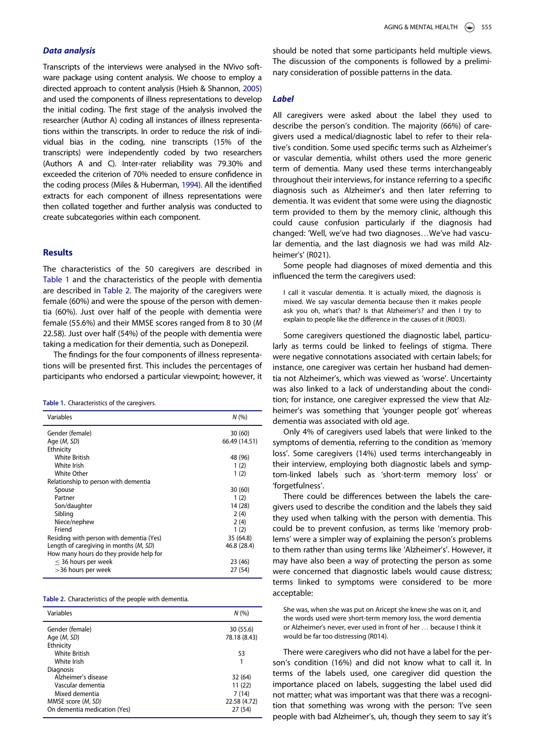### Data analysis

<span id="page-3-2"></span>Transcripts of the interviews were analysed in the NVivo software package using content analysis. We choose to employ a directed approach to content analysis (Hsieh & Shannon, [2005\)](#page-8-12) and used the components of illness representations to develop the initial coding. The first stage of the analysis involved the researcher (Author A) coding all instances of illness representations within the transcripts. In order to reduce the risk of individual bias in the coding, nine transcripts (15% of the transcripts) were independently coded by two researchers (Authors A and C). Inter-rater reliability was 79.30% and exceeded the criterion of 70% needed to ensure confidence in the coding process (Miles & Huberman, [1994\)](#page-9-12). All the identified extracts for each component of illness representations were then collated together and further analysis was conducted to create subcategories within each component.

#### <span id="page-3-3"></span>Results

The characteristics of the 50 caregivers are described in [Table 1](#page-3-0) and the characteristics of the people with dementia are described in [Table 2](#page-3-1). The majority of the caregivers were female (60%) and were the spouse of the person with dementia (60%). Just over half of the people with dementia were female (55.6%) and their MMSE scores ranged from 8 to 30 (M 22.58). Just over half (54%) of the people with dementia were taking a medication for their dementia, such as Donepezil.

The findings for the four components of illness representations will be presented first. This includes the percentages of participants who endorsed a particular viewpoint; however, it

<span id="page-3-0"></span>Table 1. Characteristics of the caregivers.

| Variables                                               | N(%           |
|---------------------------------------------------------|---------------|
| Gender (female)                                         | 30(60)        |
| Age ( <i>M</i> , <i>SD</i> )                            | 66.49 (14.51) |
| Ethnicity                                               |               |
| <b>White British</b>                                    | 48 (96)       |
| White Irish                                             | 1(2)          |
| White Other                                             | 1(2)          |
| Relationship to person with dementia                    |               |
| Spouse                                                  | 30(60)        |
| Partner                                                 | 1(2)          |
| Son/daughter                                            | 14 (28)       |
| Sibling                                                 | 2(4)          |
| Niece/nephew                                            | 2(4)          |
| Friend                                                  | 1(2)          |
| Residing with person with dementia (Yes)                | 35 (64.8)     |
| Length of caregiving in months ( <i>M</i> , <i>SD</i> ) | 46.8 (28.4)   |
| How many hours do they provide help for                 |               |
| $<$ 36 hours per week                                   | 23 (46)       |
| >36 hours per week                                      | 27 (54)       |
|                                                         |               |

<span id="page-3-1"></span>Table 2. Characteristics of the people with dementia.

| Variables                                                                                                                                      | N(%)                                                  |
|------------------------------------------------------------------------------------------------------------------------------------------------|-------------------------------------------------------|
| Gender (female)<br>Age ( <i>M</i> , <i>SD</i> )<br>Ethnicity                                                                                   | 30 (55.6)<br>78.18 (8.43)                             |
| <b>White British</b><br>White Irish                                                                                                            | 53                                                    |
| Diagnosis<br>Alzheimer's disease<br>Vascular dementia<br>Mixed dementia<br>MMSE score ( <i>M</i> , <i>SD</i> )<br>On dementia medication (Yes) | 32 (64)<br>11(22)<br>7(14)<br>22.58 (4.72)<br>27 (54) |

should be noted that some participants held multiple views. The discussion of the components is followed by a preliminary consideration of possible patterns in the data.

#### **Label**

All caregivers were asked about the label they used to describe the person's condition. The majority (66%) of caregivers used a medical/diagnostic label to refer to their relative's condition. Some used specific terms such as Alzheimer's or vascular dementia, whilst others used the more generic term of dementia. Many used these terms interchangeably throughout their interviews, for instance referring to a specific diagnosis such as Alzheimer's and then later referring to dementia. It was evident that some were using the diagnostic term provided to them by the memory clinic, although this could cause confusion particularly if the diagnosis had changed: 'Well, we've had two diagnoses…We've had vascular dementia, and the last diagnosis we had was mild Alzheimer's' (R021).

Some people had diagnoses of mixed dementia and this influenced the term the caregivers used:

I call it vascular dementia. It is actually mixed, the diagnosis is mixed. We say vascular dementia because then it makes people ask you oh, what's that? Is that Alzheimer's? and then I try to explain to people like the difference in the causes of it (R003).

Some caregivers questioned the diagnostic label, particularly as terms could be linked to feelings of stigma. There were negative connotations associated with certain labels; for instance, one caregiver was certain her husband had dementia not Alzheimer's, which was viewed as 'worse'. Uncertainty was also linked to a lack of understanding about the condition; for instance, one caregiver expressed the view that Alzheimer's was something that 'younger people got' whereas dementia was associated with old age.

Only 4% of caregivers used labels that were linked to the symptoms of dementia, referring to the condition as 'memory loss'. Some caregivers (14%) used terms interchangeably in their interview, employing both diagnostic labels and symptom-linked labels such as 'short-term memory loss' or 'forgetfulness'.

There could be differences between the labels the caregivers used to describe the condition and the labels they said they used when talking with the person with dementia. This could be to prevent confusion, as terms like 'memory problems' were a simpler way of explaining the person's problems to them rather than using terms like 'Alzheimer's'. However, it may have also been a way of protecting the person as some were concerned that diagnostic labels would cause distress; terms linked to symptoms were considered to be more acceptable:

She was, when she was put on Aricept she knew she was on it, and the words used were short-term memory loss, the word dementia or Alzheimer's never, ever used in front of her … because I think it would be far too distressing (R014).

There were caregivers who did not have a label for the person's condition (16%) and did not know what to call it. In terms of the labels used, one caregiver did question the importance placed on labels, suggesting the label used did not matter; what was important was that there was a recognition that something was wrong with the person: 'I've seen people with bad Alzheimer's, uh, though they seem to say it's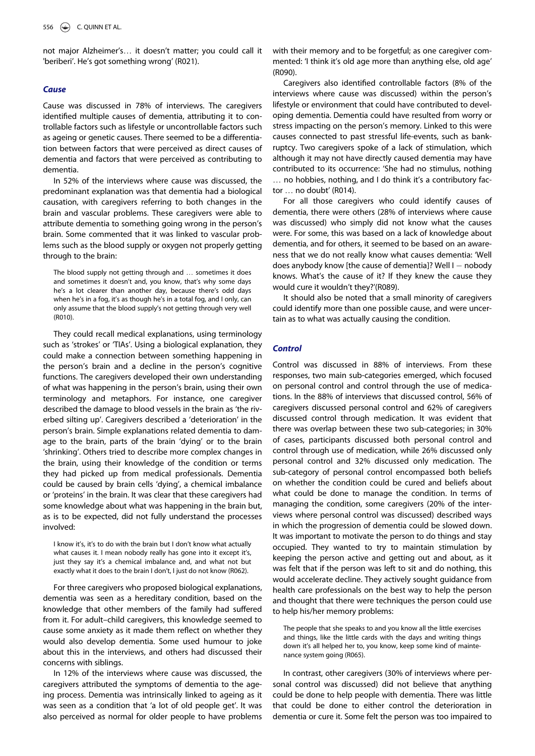not major Alzheimer's… it doesn't matter; you could call it 'beriberi'. He's got something wrong' (R021).

#### **Cause**

Cause was discussed in 78% of interviews. The caregivers identified multiple causes of dementia, attributing it to controllable factors such as lifestyle or uncontrollable factors such as ageing or genetic causes. There seemed to be a differentiation between factors that were perceived as direct causes of dementia and factors that were perceived as contributing to dementia.

In 52% of the interviews where cause was discussed, the predominant explanation was that dementia had a biological causation, with caregivers referring to both changes in the brain and vascular problems. These caregivers were able to attribute dementia to something going wrong in the person's brain. Some commented that it was linked to vascular problems such as the blood supply or oxygen not properly getting through to the brain:

The blood supply not getting through and … sometimes it does and sometimes it doesn't and, you know, that's why some days he's a lot clearer than another day, because there's odd days when he's in a fog, it's as though he's in a total fog, and I only, can only assume that the blood supply's not getting through very well (R010).

They could recall medical explanations, using terminology such as 'strokes' or 'TIAs'. Using a biological explanation, they could make a connection between something happening in the person's brain and a decline in the person's cognitive functions. The caregivers developed their own understanding of what was happening in the person's brain, using their own terminology and metaphors. For instance, one caregiver described the damage to blood vessels in the brain as 'the riverbed silting up'. Caregivers described a 'deterioration' in the person's brain. Simple explanations related dementia to damage to the brain, parts of the brain 'dying' or to the brain 'shrinking'. Others tried to describe more complex changes in the brain, using their knowledge of the condition or terms they had picked up from medical professionals. Dementia could be caused by brain cells 'dying', a chemical imbalance or 'proteins' in the brain. It was clear that these caregivers had some knowledge about what was happening in the brain but, as is to be expected, did not fully understand the processes involved:

I know it's, it's to do with the brain but I don't know what actually what causes it. I mean nobody really has gone into it except it's, just they say it's a chemical imbalance and, and what not but exactly what it does to the brain I don't, I just do not know (R062).

For three caregivers who proposed biological explanations, dementia was seen as a hereditary condition, based on the knowledge that other members of the family had suffered from it. For adult–child caregivers, this knowledge seemed to cause some anxiety as it made them reflect on whether they would also develop dementia. Some used humour to joke about this in the interviews, and others had discussed their concerns with siblings.

In 12% of the interviews where cause was discussed, the caregivers attributed the symptoms of dementia to the ageing process. Dementia was intrinsically linked to ageing as it was seen as a condition that 'a lot of old people get'. It was also perceived as normal for older people to have problems

with their memory and to be forgetful; as one caregiver commented: 'I think it's old age more than anything else, old age' (R090).

Caregivers also identified controllable factors (8% of the interviews where cause was discussed) within the person's lifestyle or environment that could have contributed to developing dementia. Dementia could have resulted from worry or stress impacting on the person's memory. Linked to this were causes connected to past stressful life-events, such as bankruptcy. Two caregivers spoke of a lack of stimulation, which although it may not have directly caused dementia may have contributed to its occurrence: 'She had no stimulus, nothing … no hobbies, nothing, and I do think it's a contributory factor … no doubt' (R014).

For all those caregivers who could identify causes of dementia, there were others (28% of interviews where cause was discussed) who simply did not know what the causes were. For some, this was based on a lack of knowledge about dementia, and for others, it seemed to be based on an awareness that we do not really know what causes dementia: 'Well does anybody know [the cause of dementia]? Well  $I -$  nobody knows. What's the cause of it? If they knew the cause they would cure it wouldn't they?'(R089).

It should also be noted that a small minority of caregivers could identify more than one possible cause, and were uncertain as to what was actually causing the condition.

#### Control

Control was discussed in 88% of interviews. From these responses, two main sub-categories emerged, which focused on personal control and control through the use of medications. In the 88% of interviews that discussed control, 56% of caregivers discussed personal control and 62% of caregivers discussed control through medication. It was evident that there was overlap between these two sub-categories; in 30% of cases, participants discussed both personal control and control through use of medication, while 26% discussed only personal control and 32% discussed only medication. The sub-category of personal control encompassed both beliefs on whether the condition could be cured and beliefs about what could be done to manage the condition. In terms of managing the condition, some caregivers (20% of the interviews where personal control was discussed) described ways in which the progression of dementia could be slowed down. It was important to motivate the person to do things and stay occupied. They wanted to try to maintain stimulation by keeping the person active and getting out and about, as it was felt that if the person was left to sit and do nothing, this would accelerate decline. They actively sought guidance from health care professionals on the best way to help the person and thought that there were techniques the person could use to help his/her memory problems:

The people that she speaks to and you know all the little exercises and things, like the little cards with the days and writing things down it's all helped her to, you know, keep some kind of maintenance system going (R065).

In contrast, other caregivers (30% of interviews where personal control was discussed) did not believe that anything could be done to help people with dementia. There was little that could be done to either control the deterioration in dementia or cure it. Some felt the person was too impaired to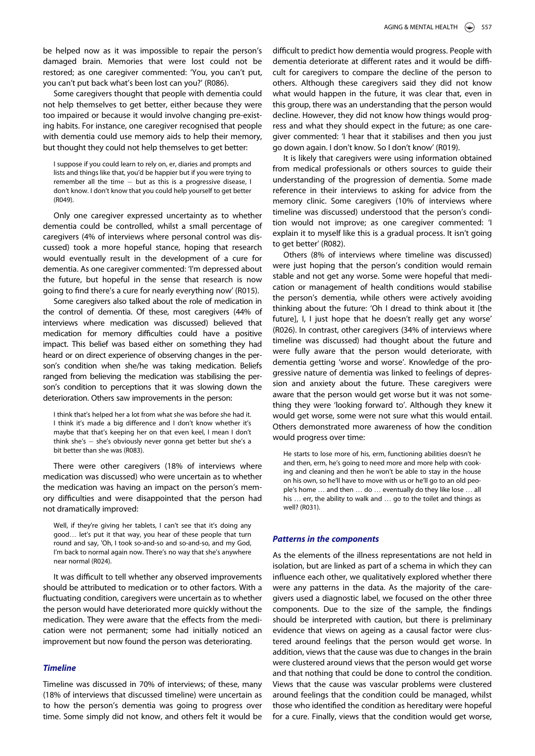be helped now as it was impossible to repair the person's damaged brain. Memories that were lost could not be restored; as one caregiver commented: 'You, you can't put, you can't put back what's been lost can you?' (R086).

Some caregivers thought that people with dementia could not help themselves to get better, either because they were too impaired or because it would involve changing pre-existing habits. For instance, one caregiver recognised that people with dementia could use memory aids to help their memory, but thought they could not help themselves to get better:

I suppose if you could learn to rely on, er, diaries and prompts and lists and things like that, you'd be happier but if you were trying to remember all the time  $-$  but as this is a progressive disease. I don't know. I don't know that you could help yourself to get better (R049).

Only one caregiver expressed uncertainty as to whether dementia could be controlled, whilst a small percentage of caregivers (4% of interviews where personal control was discussed) took a more hopeful stance, hoping that research would eventually result in the development of a cure for dementia. As one caregiver commented: 'I'm depressed about the future, but hopeful in the sense that research is now going to find there's a cure for nearly everything now' (R015).

Some caregivers also talked about the role of medication in the control of dementia. Of these, most caregivers (44% of interviews where medication was discussed) believed that medication for memory difficulties could have a positive impact. This belief was based either on something they had heard or on direct experience of observing changes in the person's condition when she/he was taking medication. Beliefs ranged from believing the medication was stabilising the person's condition to perceptions that it was slowing down the deterioration. Others saw improvements in the person:

I think that's helped her a lot from what she was before she had it. I think it's made a big difference and I don't know whether it's maybe that that's keeping her on that even keel, I mean I don't think she's  $-$  she's obviously never gonna get better but she's a bit better than she was (R083).

There were other caregivers (18% of interviews where medication was discussed) who were uncertain as to whether the medication was having an impact on the person's memory difficulties and were disappointed that the person had not dramatically improved:

Well, if they're giving her tablets, I can't see that it's doing any good… let's put it that way, you hear of these people that turn round and say, 'Oh, I took so-and-so and so-and-so, and my God, I'm back to normal again now. There's no way that she's anywhere near normal (R024).

It was difficult to tell whether any observed improvements should be attributed to medication or to other factors. With a fluctuating condition, caregivers were uncertain as to whether the person would have deteriorated more quickly without the medication. They were aware that the effects from the medication were not permanent; some had initially noticed an improvement but now found the person was deteriorating.

Timeline was discussed in 70% of interviews; of these, many (18% of interviews that discussed timeline) were uncertain as to how the person's dementia was going to progress over time. Some simply did not know, and others felt it would be difficult to predict how dementia would progress. People with dementia deteriorate at different rates and it would be difficult for caregivers to compare the decline of the person to others. Although these caregivers said they did not know what would happen in the future, it was clear that, even in this group, there was an understanding that the person would decline. However, they did not know how things would progress and what they should expect in the future; as one caregiver commented: 'I hear that it stabilises and then you just go down again. I don't know. So I don't know' (R019).

It is likely that caregivers were using information obtained from medical professionals or others sources to guide their understanding of the progression of dementia. Some made reference in their interviews to asking for advice from the memory clinic. Some caregivers (10% of interviews where timeline was discussed) understood that the person's condition would not improve; as one caregiver commented: 'I explain it to myself like this is a gradual process. It isn't going to get better' (R082).

Others (8% of interviews where timeline was discussed) were just hoping that the person's condition would remain stable and not get any worse. Some were hopeful that medication or management of health conditions would stabilise the person's dementia, while others were actively avoiding thinking about the future: 'Oh I dread to think about it [the future], I, I just hope that he doesn't really get any worse' (R026). In contrast, other caregivers (34% of interviews where timeline was discussed) had thought about the future and were fully aware that the person would deteriorate, with dementia getting 'worse and worse'. Knowledge of the progressive nature of dementia was linked to feelings of depression and anxiety about the future. These caregivers were aware that the person would get worse but it was not something they were 'looking forward to'. Although they knew it would get worse, some were not sure what this would entail. Others demonstrated more awareness of how the condition would progress over time:

He starts to lose more of his, erm, functioning abilities doesn't he and then, erm, he's going to need more and more help with cooking and cleaning and then he won't be able to stay in the house on his own, so he'll have to move with us or he'll go to an old people's home … and then … do … eventually do they like lose … all his ... err, the ability to walk and ... go to the toilet and things as well? (R031).

### Patterns in the components

As the elements of the illness representations are not held in isolation, but are linked as part of a schema in which they can influence each other, we qualitatively explored whether there were any patterns in the data. As the majority of the caregivers used a diagnostic label, we focused on the other three components. Due to the size of the sample, the findings should be interpreted with caution, but there is preliminary evidence that views on ageing as a causal factor were clustered around feelings that the person would get worse. In addition, views that the cause was due to changes in the brain were clustered around views that the person would get worse and that nothing that could be done to control the condition. Views that the cause was vascular problems were clustered around feelings that the condition could be managed, whilst those who identified the condition as hereditary were hopeful for a cure. Finally, views that the condition would get worse,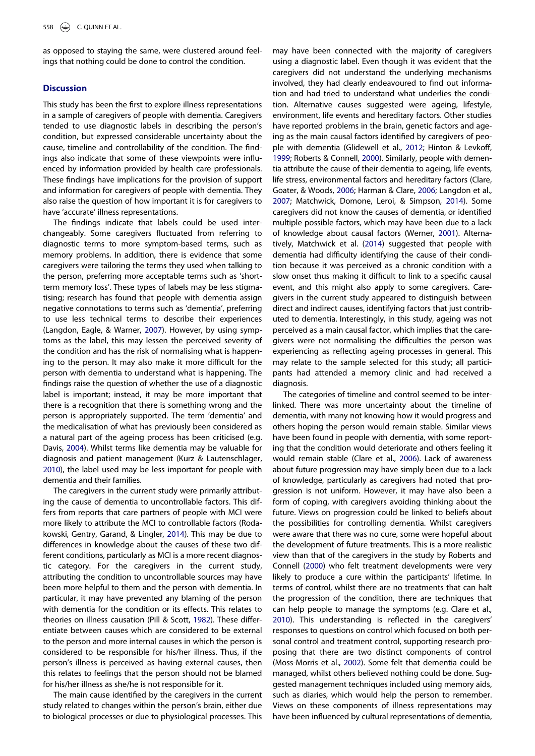as opposed to staying the same, were clustered around feelings that nothing could be done to control the condition.

#### **Discussion**

<span id="page-6-4"></span>This study has been the first to explore illness representations in a sample of caregivers of people with dementia. Caregivers tended to use diagnostic labels in describing the person's condition, but expressed considerable uncertainty about the cause, timeline and controllability of the condition. The findings also indicate that some of these viewpoints were influenced by information provided by health care professionals. These findings have implications for the provision of support and information for caregivers of people with dementia. They also raise the question of how important it is for caregivers to have 'accurate' illness representations.

<span id="page-6-9"></span><span id="page-6-6"></span><span id="page-6-3"></span>The findings indicate that labels could be used interchangeably. Some caregivers fluctuated from referring to diagnostic terms to more symptom-based terms, such as memory problems. In addition, there is evidence that some caregivers were tailoring the terms they used when talking to the person, preferring more acceptable terms such as 'shortterm memory loss'. These types of labels may be less stigmatising; research has found that people with dementia assign negative connotations to terms such as 'dementia', preferring to use less technical terms to describe their experiences (Langdon, Eagle, & Warner, [2007](#page-8-13)). However, by using symptoms as the label, this may lessen the perceived severity of the condition and has the risk of normalising what is happening to the person. It may also make it more difficult for the person with dementia to understand what is happening. The findings raise the question of whether the use of a diagnostic label is important; instead, it may be more important that there is a recognition that there is something wrong and the person is appropriately supported. The term 'dementia' and the medicalisation of what has previously been considered as a natural part of the ageing process has been criticised (e.g. Davis, [2004](#page-8-14)). Whilst terms like dementia may be valuable for diagnosis and patient management (Kurz & Lautenschlager, [2010](#page-8-15)), the label used may be less important for people with dementia and their families.

<span id="page-6-8"></span><span id="page-6-5"></span><span id="page-6-2"></span><span id="page-6-0"></span>The caregivers in the current study were primarily attributing the cause of dementia to uncontrollable factors. This differs from reports that care partners of people with MCI were more likely to attribute the MCI to controllable factors (Rodakowski, Gentry, Garand, & Lingler, [2014](#page-9-13)). This may be due to differences in knowledge about the causes of these two different conditions, particularly as MCI is a more recent diagnostic category. For the caregivers in the current study, attributing the condition to uncontrollable sources may have been more helpful to them and the person with dementia. In particular, it may have prevented any blaming of the person with dementia for the condition or its effects. This relates to theories on illness causation (Pill & Scott, [1982](#page-9-14)). These differentiate between causes which are considered to be external to the person and more internal causes in which the person is considered to be responsible for his/her illness. Thus, if the person's illness is perceived as having external causes, then this relates to feelings that the person should not be blamed for his/her illness as she/he is not responsible for it.

<span id="page-6-7"></span><span id="page-6-1"></span>The main cause identified by the caregivers in the current study related to changes within the person's brain, either due to biological processes or due to physiological processes. This

may have been connected with the majority of caregivers using a diagnostic label. Even though it was evident that the caregivers did not understand the underlying mechanisms involved, they had clearly endeavoured to find out information and had tried to understand what underlies the condition. Alternative causes suggested were ageing, lifestyle, environment, life events and hereditary factors. Other studies have reported problems in the brain, genetic factors and ageing as the main causal factors identified by caregivers of people with dementia (Glidewell et al., [2012;](#page-8-9) Hinton & Levkoff, [1999;](#page-8-16) Roberts & Connell, [2000](#page-9-8)). Similarly, people with dementia attribute the cause of their dementia to ageing, life events, life stress, environmental factors and hereditary factors (Clare, Goater, & Woods, [2006](#page-8-17); Harman & Clare, [2006](#page-8-18); Langdon et al., [2007;](#page-8-13) Matchwick, Domone, Leroi, & Simpson, [2014\)](#page-9-15). Some caregivers did not know the causes of dementia, or identified multiple possible factors, which may have been due to a lack of knowledge about causal factors (Werner, [2001](#page-9-16)). Alternatively, Matchwick et al. ([2014](#page-9-15)) suggested that people with dementia had difficulty identifying the cause of their condition because it was perceived as a chronic condition with a slow onset thus making it difficult to link to a specific causal event, and this might also apply to some caregivers. Caregivers in the current study appeared to distinguish between direct and indirect causes, identifying factors that just contributed to dementia. Interestingly, in this study, ageing was not perceived as a main causal factor, which implies that the caregivers were not normalising the difficulties the person was experiencing as reflecting ageing processes in general. This may relate to the sample selected for this study; all participants had attended a memory clinic and had received a diagnosis.

The categories of timeline and control seemed to be interlinked. There was more uncertainty about the timeline of dementia, with many not knowing how it would progress and others hoping the person would remain stable. Similar views have been found in people with dementia, with some reporting that the condition would deteriorate and others feeling it would remain stable (Clare et al., [2006\)](#page-8-17). Lack of awareness about future progression may have simply been due to a lack of knowledge, particularly as caregivers had noted that progression is not uniform. However, it may have also been a form of coping, with caregivers avoiding thinking about the future. Views on progression could be linked to beliefs about the possibilities for controlling dementia. Whilst caregivers were aware that there was no cure, some were hopeful about the development of future treatments. This is a more realistic view than that of the caregivers in the study by Roberts and Connell [\(2000](#page-9-8)) who felt treatment developments were very likely to produce a cure within the participants' lifetime. In terms of control, whilst there are no treatments that can halt the progression of the condition, there are techniques that can help people to manage the symptoms (e.g. Clare et al., [2010\)](#page-8-19). This understanding is reflected in the caregivers' responses to questions on control which focused on both personal control and treatment control, supporting research proposing that there are two distinct components of control (Moss-Morris et al., [2002\)](#page-9-4). Some felt that dementia could be managed, whilst others believed nothing could be done. Suggested management techniques included using memory aids, such as diaries, which would help the person to remember. Views on these components of illness representations may have been influenced by cultural representations of dementia,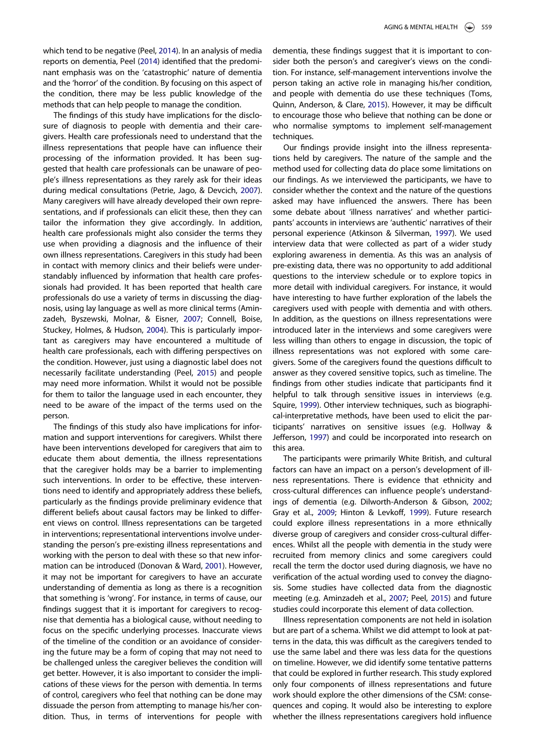<span id="page-7-6"></span>which tend to be negative (Peel, [2014\)](#page-9-17). In an analysis of media reports on dementia, Peel ([2014](#page-9-17)) identified that the predominant emphasis was on the 'catastrophic' nature of dementia and the 'horror' of the condition. By focusing on this aspect of the condition, there may be less public knowledge of the methods that can help people to manage the condition.

<span id="page-7-9"></span><span id="page-7-7"></span><span id="page-7-1"></span>The findings of this study have implications for the disclosure of diagnosis to people with dementia and their caregivers. Health care professionals need to understand that the illness representations that people have can influence their processing of the information provided. It has been suggested that health care professionals can be unaware of people's illness representations as they rarely ask for their ideas during medical consultations (Petrie, Jago, & Devcich, [2007](#page-9-18)). Many caregivers will have already developed their own representations, and if professionals can elicit these, then they can tailor the information they give accordingly. In addition, health care professionals might also consider the terms they use when providing a diagnosis and the influence of their own illness representations. Caregivers in this study had been in contact with memory clinics and their beliefs were understandably influenced by information that health care professionals had provided. It has been reported that health care professionals do use a variety of terms in discussing the diagnosis, using lay language as well as more clinical terms (Aminzadeh, Byszewski, Molnar, & Eisner, [2007;](#page-8-20) Connell, Boise, Stuckey, Holmes, & Hudson, [2004](#page-8-21)). This is particularly important as caregivers may have encountered a multitude of health care professionals, each with differing perspectives on the condition. However, just using a diagnostic label does not necessarily facilitate understanding (Peel, [2015\)](#page-9-19) and people may need more information. Whilst it would not be possible for them to tailor the language used in each encounter, they need to be aware of the impact of the terms used on the person.

<span id="page-7-8"></span><span id="page-7-5"></span><span id="page-7-4"></span><span id="page-7-3"></span><span id="page-7-2"></span><span id="page-7-0"></span>The findings of this study also have implications for information and support interventions for caregivers. Whilst there have been interventions developed for caregivers that aim to educate them about dementia, the illness representations that the caregiver holds may be a barrier to implementing such interventions. In order to be effective, these interventions need to identify and appropriately address these beliefs, particularly as the findings provide preliminary evidence that different beliefs about causal factors may be linked to different views on control. Illness representations can be targeted in interventions; representational interventions involve understanding the person's pre-existing illness representations and working with the person to deal with these so that new information can be introduced (Donovan & Ward, [2001\)](#page-8-22). However, it may not be important for caregivers to have an accurate understanding of dementia as long as there is a recognition that something is 'wrong'. For instance, in terms of cause, our findings suggest that it is important for caregivers to recognise that dementia has a biological cause, without needing to focus on the specific underlying processes. Inaccurate views of the timeline of the condition or an avoidance of considering the future may be a form of coping that may not need to be challenged unless the caregiver believes the condition will get better. However, it is also important to consider the implications of these views for the person with dementia. In terms of control, caregivers who feel that nothing can be done may dissuade the person from attempting to manage his/her condition. Thus, in terms of interventions for people with dementia, these findings suggest that it is important to consider both the person's and caregiver's views on the condition. For instance, self-management interventions involve the person taking an active role in managing his/her condition, and people with dementia do use these techniques (Toms, Quinn, Anderson, & Clare, [2015\)](#page-9-20). However, it may be difficult to encourage those who believe that nothing can be done or who normalise symptoms to implement self-management techniques.

Our findings provide insight into the illness representations held by caregivers. The nature of the sample and the method used for collecting data do place some limitations on our findings. As we interviewed the participants, we have to consider whether the context and the nature of the questions asked may have influenced the answers. There has been some debate about 'illness narratives' and whether participants' accounts in interviews are 'authentic' narratives of their personal experience (Atkinson & Silverman, [1997](#page-8-23)). We used interview data that were collected as part of a wider study exploring awareness in dementia. As this was an analysis of pre-existing data, there was no opportunity to add additional questions to the interview schedule or to explore topics in more detail with individual caregivers. For instance, it would have interesting to have further exploration of the labels the caregivers used with people with dementia and with others. In addition, as the questions on illness representations were introduced later in the interviews and some caregivers were less willing than others to engage in discussion, the topic of illness representations was not explored with some caregivers. Some of the caregivers found the questions difficult to answer as they covered sensitive topics, such as timeline. The findings from other studies indicate that participants find it helpful to talk through sensitive issues in interviews (e.g. Squire, [1999\)](#page-9-21). Other interview techniques, such as biographical-interpretative methods, have been used to elicit the participants' narratives on sensitive issues (e.g. Hollway & Jefferson, [1997\)](#page-8-24) and could be incorporated into research on this area.

The participants were primarily White British, and cultural factors can have an impact on a person's development of illness representations. There is evidence that ethnicity and cross-cultural differences can influence people's understandings of dementia (e.g. Dilworth-Anderson & Gibson, [2002;](#page-8-25) Gray et al., [2009;](#page-8-2) Hinton & Levkoff, [1999](#page-8-16)). Future research could explore illness representations in a more ethnically diverse group of caregivers and consider cross-cultural differences. Whilst all the people with dementia in the study were recruited from memory clinics and some caregivers could recall the term the doctor used during diagnosis, we have no verification of the actual wording used to convey the diagnosis. Some studies have collected data from the diagnostic meeting (e.g. Aminzadeh et al., [2007](#page-8-20); Peel, [2015](#page-9-19)) and future studies could incorporate this element of data collection.

Illness representation components are not held in isolation but are part of a schema. Whilst we did attempt to look at patterns in the data, this was difficult as the caregivers tended to use the same label and there was less data for the questions on timeline. However, we did identify some tentative patterns that could be explored in further research. This study explored only four components of illness representations and future work should explore the other dimensions of the CSM: consequences and coping. It would also be interesting to explore whether the illness representations caregivers hold influence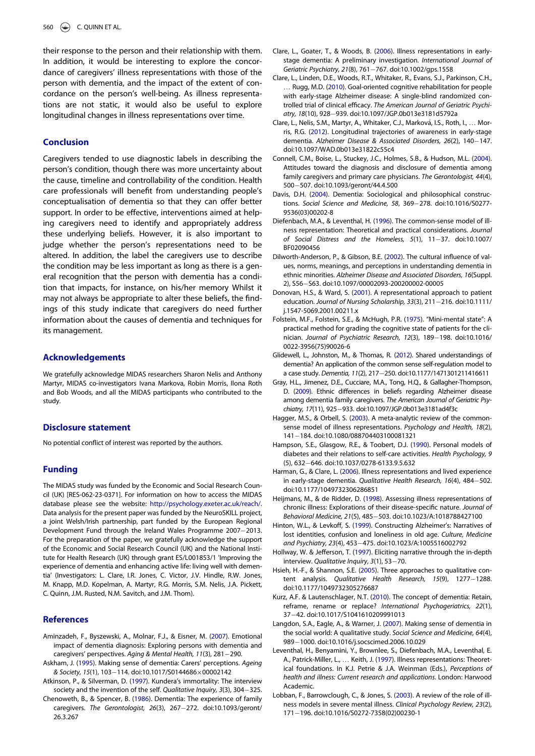<span id="page-8-19"></span><span id="page-8-17"></span>their response to the person and their relationship with them. In addition, it would be interesting to explore the concordance of caregivers' illness representations with those of the person with dementia, and the impact of the extent of concordance on the person's well-being. As illness representations are not static, it would also be useful to explore longitudinal changes in illness representations over time.

#### <span id="page-8-10"></span>Conclusion

<span id="page-8-25"></span><span id="page-8-21"></span><span id="page-8-14"></span><span id="page-8-3"></span>Caregivers tended to use diagnostic labels in describing the person's condition, though there was more uncertainty about the cause, timeline and controllability of the condition. Health care professionals will benefit from understanding people's conceptualisation of dementia so that they can offer better support. In order to be effective, interventions aimed at helping caregivers need to identify and appropriately address these underlying beliefs. However, it is also important to judge whether the person's representations need to be altered. In addition, the label the caregivers use to describe the condition may be less important as long as there is a general recognition that the person with dementia has a condition that impacts, for instance, on his/her memory Whilst it may not always be appropriate to alter these beliefs, the findings of this study indicate that caregivers do need further information about the causes of dementia and techniques for its management.

### <span id="page-8-22"></span><span id="page-8-11"></span><span id="page-8-9"></span>Acknowledgements

<span id="page-8-2"></span>We gratefully acknowledge MIDAS researchers Sharon Nelis and Anthony Martyr, MIDAS co-investigators Ivana Markova, Robin Morris, Ilona Roth and Bob Woods, and all the MIDAS participants who contributed to the study.

#### <span id="page-8-4"></span>Disclosure statement

<span id="page-8-5"></span>No potential conflict of interest was reported by the authors.

#### <span id="page-8-18"></span>Funding

<span id="page-8-24"></span><span id="page-8-16"></span><span id="page-8-6"></span>The MIDAS study was funded by the Economic and Social Research Council (UK) [RES-062-23-0371]. For information on how to access the MIDAS database please see the website: <http://psychology.exeter.ac.uk/reach/>. Data analysis for the present paper was funded by the NeuroSKILL project, a joint Welsh/Irish partnership, part funded by the European Regional Development Fund through the Ireland Wales Programme 2007-2013. For the preparation of the paper, we gratefully acknowledge the support of the Economic and Social Research Council (UK) and the National Institute for Health Research (UK) through grant ES/L001853/1 'Improving the experience of dementia and enhancing active life: living well with dementia' (Investigators: L. Clare, I.R. Jones, C. Victor, J.V. Hindle, R.W. Jones, M. Knapp, M.D. Kopelman, A. Martyr, R.G. Morris, S.M. Nelis, J.A. Pickett, C. Quinn, J.M. Rusted, N.M. Savitch, and J.M. Thom).

#### <span id="page-8-15"></span><span id="page-8-13"></span><span id="page-8-12"></span>References

- <span id="page-8-20"></span><span id="page-8-7"></span>Aminzadeh, F., Byszewski, A., Molnar, F.J., & Eisner, M. [\(2007](#page-7-0)). Emotional impact of dementia diagnosis: Exploring persons with dementia and caregivers' perspectives. Aging & Mental Health, 11(3), 281-290.
- <span id="page-8-1"></span>Askham, J. [\(1995](#page-1-1)). Making sense of dementia: Carers' perceptions. Ageing & Society, 15(1), 103-114. doi[:10.1017/S0144686](http://dx.doi.org/10.1017/S0144686×00002142)×[00002142](http://dx.doi.org/10.1017/S0144686×00002142)
- <span id="page-8-23"></span>Atkinson, P., & Silverman, D. [\(1997\)](#page-7-1). Kundera's immortality: The interview society and the invention of the self. Qualitative Inquiry, 3(3), 304-325.
- <span id="page-8-8"></span><span id="page-8-0"></span>Chenoweth, B., & Spencer, B. [\(1986\)](#page-1-2). Dementia: The experience of family caregivers. The Gerontologist,  $26(3)$ ,  $267-272$ . doi[:10.1093/geront/](http://dx.doi.org/10.1093/geront/26.3.267) [26.3.267](http://dx.doi.org/10.1093/geront/26.3.267)
- Clare, L., Goater, T., & Woods, B. ([2006](#page-6-0)). Illness representations in earlystage dementia: A preliminary investigation. International Journal of Geriatric Psychiatry, 21(8), 761-767. doi:10.1002/qps.1558
- Clare, L., Linden, D.E., Woods, R.T., Whitaker, R., Evans, S.J., Parkinson, C.H., … Rugg, M.D. [\(2010](#page-6-1)). Goal-oriented cognitive rehabilitation for people with early-stage Alzheimer disease: A single-blind randomized controlled trial of clinical efficacy. The American Journal of Geriatric Psychi-atry, 18(10), 928-939. doi:[10.1097/JGP.0b013e3181d5792a](http://dx.doi.org/10.1097/JGP.0b013e3181d5792a)
- Clare, L., Nelis, S.M., Martyr, A., Whitaker, C.J., Marková, I.S., Roth, I., ... Morris, R.G. ([2012](#page-2-0)). Longitudinal trajectories of awareness in early-stage dementia. Alzheimer Disease & Associated Disorders, 26(2), 140-147. doi:[10.1097/WAD.0b013e31822c55c4](http://dx.doi.org/10.1097/WAD.0b013e31822c55c4)
- Connell, C.M., Boise, L., Stuckey, J.C., Holmes, S.B., & Hudson, M.L. [\(2004\)](#page-7-2). Attitudes toward the diagnosis and disclosure of dementia among family caregivers and primary care physicians. The Gerontologist, 44(4), 500507. doi:[10.1093/geront/44.4.500](http://dx.doi.org/10.1093/geront/44.4.500)
- Davis, D.H. ([2004\)](#page-6-2). Dementia: Sociological and philosophical construc-tions. Social Science and Medicine, 58, 369-278. doi[:10.1016/S0277-](http://dx.doi.org/10.1016/S0277-9536(03)00202-8) [9536\(03\)00202-8](http://dx.doi.org/10.1016/S0277-9536(03)00202-8)
- Diefenbach, M.A., & Leventhal, H. ([1996\)](#page-1-3). The common-sense model of illness representation: Theoretical and practical considerations. Journal of Social Distress and the Homeless,  $5(1)$ ,  $11-37$ . doi:[10.1007/](http://dx.doi.org/10.1007/BF02090456) [BF02090456](http://dx.doi.org/10.1007/BF02090456)
- Dilworth-Anderson, P., & Gibson, B.E. [\(2002](#page-7-3)). The cultural influence of values, norms, meanings, and perceptions in understanding dementia in ethnic minorities. Alzheimer Disease and Associated Disorders, 16(Suppl. 2), S56-S63. doi[:10.1097/00002093-200200002-00005](http://dx.doi.org/10.1097/00002093-200200002-00005)
- Donovan, H.S., & Ward, S. ([2001\)](#page-7-4). A representational approach to patient education. Journal of Nursing Scholarship, 33(3), 211-216. doi:[10.1111/](http://dx.doi.org/10.1111/j.1547-5069.2001.00211.x) [j.1547-5069.2001.00211.x](http://dx.doi.org/10.1111/j.1547-5069.2001.00211.x)
- Folstein, M.F., Folstein, S.E., & McHugh, P.R. ([1975](#page-2-1)). "Mini-mental state": A practical method for grading the cognitive state of patients for the cli-nician. Journal of Psychiatric Research, 12(3), 189-198. doi:[10.1016/](http://dx.doi.org/10.1016/0022-3956(75)90026-6) [0022-3956\(75\)90026-6](http://dx.doi.org/10.1016/0022-3956(75)90026-6)
- Glidewell, L., Johnston, M., & Thomas, R. ([2012](#page-2-2)). Shared understandings of dementia? An application of the common sense self-regulation model to a case study. Dementia, 11(2), 217-250. doi:[10.1177/1471301211416611](http://dx.doi.org/10.1177/1471301211416611)
- Gray, H.L., Jimenez, D.E., Cucciare, M.A., Tong, H.Q., & Gallagher-Thompson, D. ([2009](#page-1-4)). Ethnic differences in beliefs regarding Alzheimer disease among dementia family caregivers. The American Journal of Geriatric Psy-chiatry, 17(11), 925-933. doi[:10.1097/JGP.0b013e3181ad4f3c](http://dx.doi.org/10.1097/JGP.0b013e3181ad4f3c)
- Hagger, M.S., & Orbell, S. [\(2003](#page-1-5)). A meta-analytic review of the commonsense model of illness representations. Psychology and Health, 18(2), 141-184. doi:[10.1080/088704403100081321](http://dx.doi.org/10.1080/088704403100081321)
- Hampson, S.E., Glasgow, R.E., & Toobert, D.J. [\(1990](#page-2-3)). Personal models of diabetes and their relations to self-care activities. Health Psychology, 9 (5), 632-646. doi:[10.1037/0278-6133.9.5.632](http://dx.doi.org/10.1037/0278-6133.9.5.632)
- Harman, G., & Clare, L. ([2006\)](#page-6-3). Illness representations and lived experience in early-stage dementia. Qualitative Health Research, 16(4), 484-502. doi:[10.1177/1049732306286851](http://dx.doi.org/10.1177/1049732306286851)
- Heijmans, M., & de Ridder, D. ([1998\)](#page-2-3). Assessing illness representations of chronic illness: Explorations of their disease-specific nature. Journal of Behavioral Medicine, 21(5), 485-503. doi[:10.1023/A:1018788427100](http://dx.doi.org/10.1023/A:1018788427100)
- Hinton, W.L., & Levkoff, S. ([1999\)](#page-6-4). Constructing Alzheimer's: Narratives of lost identities, confusion and loneliness in old age. Culture, Medicine and Psychiatry, 23(4), 453-475. doi:[10.1023/A:1005516002792](http://dx.doi.org/10.1023/A:1005516002792)
- Hollway, W. & Jefferson, T. ([1997\)](#page-7-5). Eliciting narrative through the in-depth interview. Qualitative Inquiry,  $3(1)$ ,  $53-70$ .
- Hsieh, H.-F., & Shannon, S.E. [\(2005\)](#page-3-2). Three approaches to qualitative content analysis. Qualitative Health Research, 15(9), 1277-1288. doi:[10.1177/1049732305276687](http://dx.doi.org/10.1177/1049732305276687)
- Kurz, A.F. & Lautenschlager, N.T. [\(2010\)](#page-6-5). The concept of dementia: Retain, reframe, rename or replace? International Psychogeriatrics, 22(1), 3742. doi:[10.1017/S1041610209991013](http://dx.doi.org/10.1017/S1041610209991013)
- Langdon, S.A., Eagle, A., & Warner, J. [\(2007\)](#page-6-3). Making sense of dementia in the social world: A qualitative study. Social Science and Medicine, 64(4), 989-1000. doi:[10.1016/j.socscimed.2006.10.029](http://dx.doi.org/10.1016/j.socscimed.2006.10.029)
- Leventhal, H., Benyamini, Y., Brownlee, S., Diefenbach, M.A., Leventhal, E. A., Patrick-Miller, L., … Keith, J. [\(1997](#page-2-4)). Illness representations: Theoretical foundations. In K.J. Petrie & J.A. Weinman (Eds.), Perceptions of health and illness: Current research and applications. London: Harwood Academic.
- Lobban, F., Barrowclough, C., & Jones, S. ([2003\)](#page-2-5). A review of the role of illness models in severe mental illness. Clinical Psychology Review, 23(2), 171196. doi:[10.1016/S0272-7358\(02\)00230-1](http://dx.doi.org/10.1016/S0272-7358(02)00230-1)